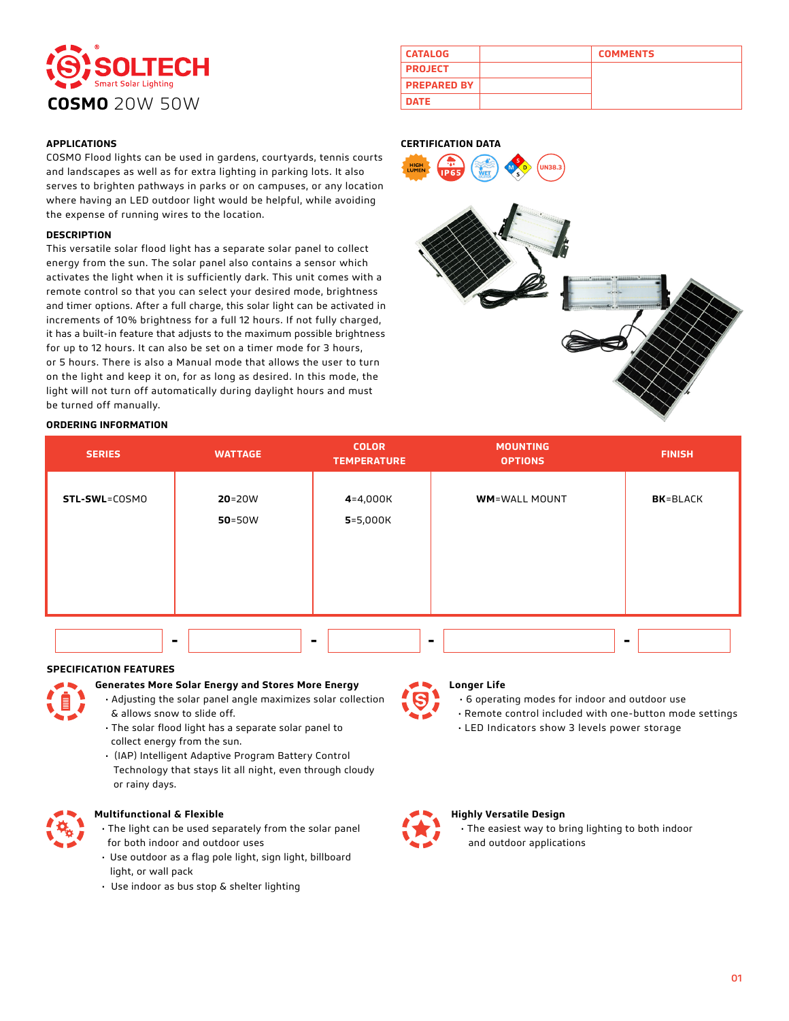

| <b>CATALOG</b>     | <b>COMMENTS</b> |
|--------------------|-----------------|
| <b>PROJECT</b>     |                 |
| <b>PREPARED BY</b> |                 |
| <b>DATE</b>        |                 |

## **APPLICATIONS**

COSMO Flood lights can be used in gardens, courtyards, tennis courts and landscapes as well as for extra lighting in parking lots. It also serves to brighten pathways in parks or on campuses, or any location where having an LED outdoor light would be helpful, while avoiding the expense of running wires to the location.

## **DESCRIPTION**

This versatile solar flood light has a separate solar panel to collect energy from the sun. The solar panel also contains a sensor which activates the light when it is sufficiently dark. This unit comes with a remote control so that you can select your desired mode, brightness and timer options. After a full charge, this solar light can be activated in increments of 10% brightness for a full 12 hours. If not fully charged, it has a built-in feature that adjusts to the maximum possible brightness for up to 12 hours. It can also be set on a timer mode for 3 hours, or 5 hours. There is also a Manual mode that allows the user to turn on the light and keep it on, for as long as desired. In this mode, the light will not turn off automatically during daylight hours and must be turned off manually.

## **ORDERING INFORMATION**

#### **CERTIFICATION DATA**



| <b>SERIES</b> | <b>WATTAGE</b>           | <b>COLOR</b><br><b>TEMPERATURE</b> | <b>MOUNTING</b><br><b>OPTIONS</b> | <b>FINISH</b>    |
|---------------|--------------------------|------------------------------------|-----------------------------------|------------------|
| STL-SWL=COSMO | $20 = 20W$<br>$50 = 50W$ | $4 = 4,000K$<br>$5 = 5,000K$       | <b>WM=WALL MOUNT</b>              | <b>BK</b> =BLACK |
|               |                          |                                    |                                   |                  |

#### **SPECIFICATION FEATURES**

## **Generates More Solar Energy and Stores More Energy**

- Adjusting the solar panel angle maximizes solar collection & allows snow to slide off.
- The solar flood light has a separate solar panel to collect energy from the sun.
- (IAP) Intelligent Adaptive Program Battery Control Technology that stays lit all night, even through cloudy or rainy days.



## **Multifunctional & Flexible**

- The light can be used separately from the solar panel for both indoor and outdoor uses
- Use outdoor as a flag pole light, sign light, billboard light, or wall pack
- Use indoor as bus stop & shelter lighting

# **Longer Life**

• 6 operating modes for indoor and outdoor use • Remote control included with one-button mode settings

• LED Indicators show 3 levels power storage

## **Highly Versatile Design**

 • The easiest way to bring lighting to both indoor and outdoor applications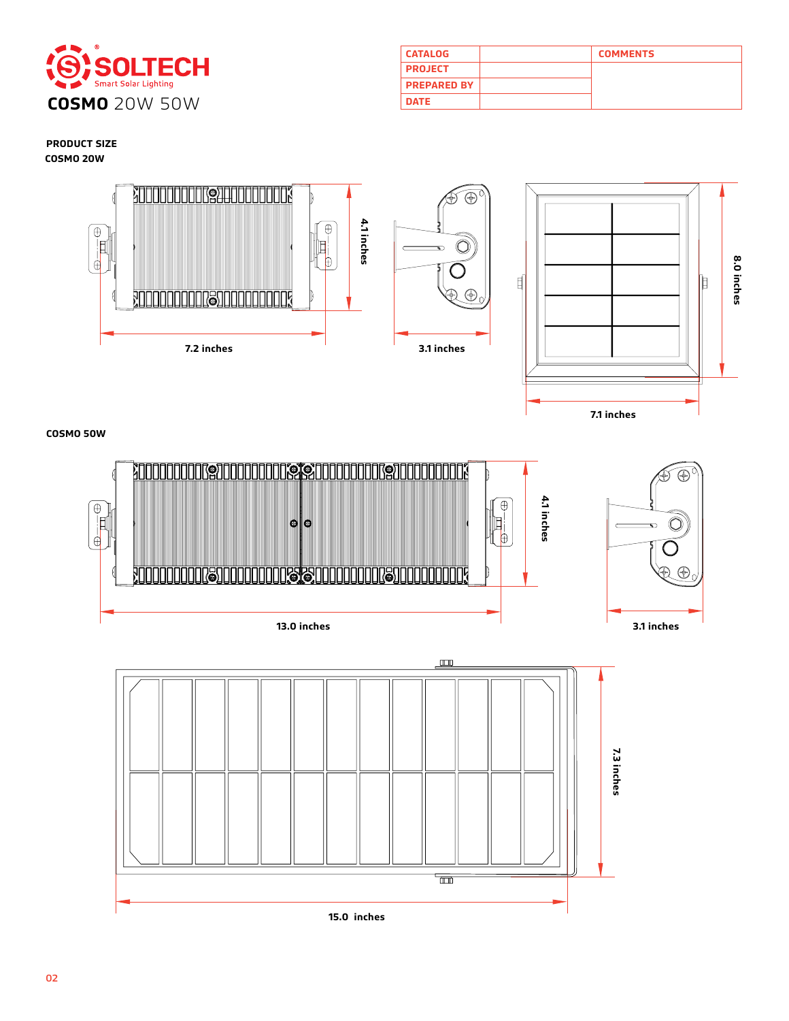

| <b>CATALOG</b>     | <b>COMMENTS</b> |
|--------------------|-----------------|
| <b>PROJECT</b>     |                 |
| <b>PREPARED BY</b> |                 |
| <b>DATE</b>        |                 |

**7.1 inches**

**8.0 inches**

8.0 inches

**PRODUCT SIZE COSMO 20W**



**COSMO 50W**



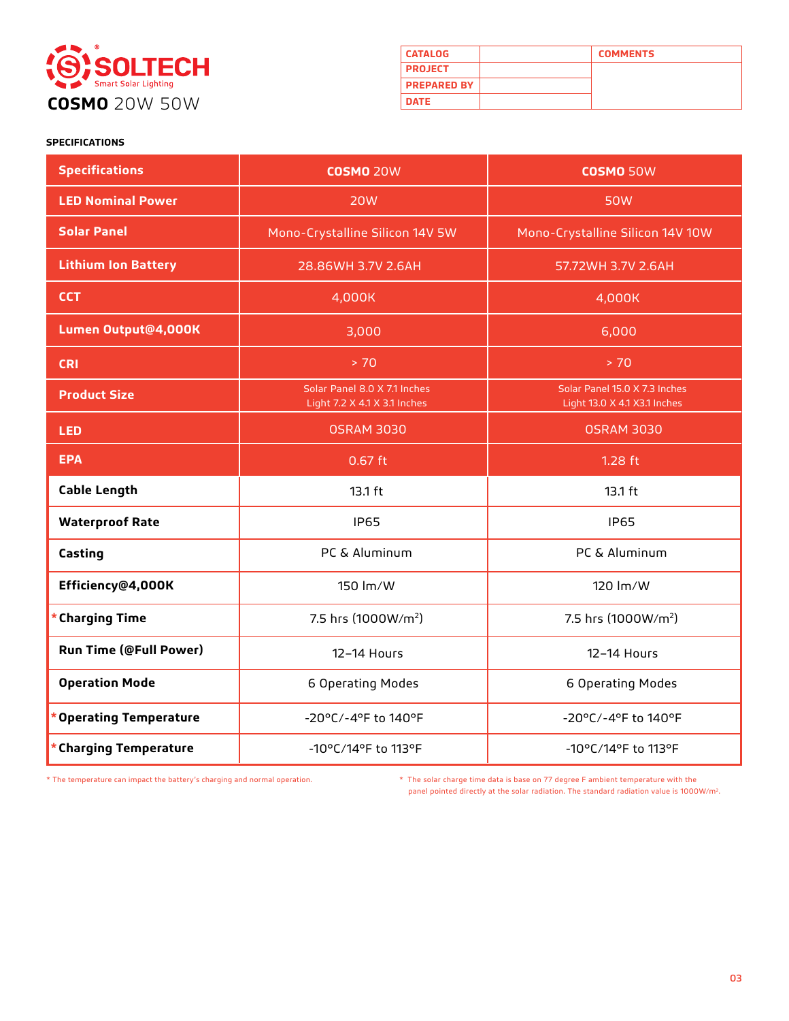

| <b>CATALOG</b>     | <b>COMMENTS</b> |
|--------------------|-----------------|
| <b>PROJECT</b>     |                 |
| <b>PREPARED BY</b> |                 |
| <b>DATE</b>        |                 |

## **SPECIFICATIONS**

| <b>Specifications</b>         | <b>COSMO 20W</b>                                             | <b>COSMO 50W</b>                                              |
|-------------------------------|--------------------------------------------------------------|---------------------------------------------------------------|
| <b>LED Nominal Power</b>      | <b>20W</b>                                                   | <b>50W</b>                                                    |
| <b>Solar Panel</b>            | Mono-Crystalline Silicon 14V 5W                              | Mono-Crystalline Silicon 14V 10W                              |
| <b>Lithium Ion Battery</b>    | 28.86WH 3.7V 2.6AH                                           | 57.72WH 3.7V 2.6AH                                            |
| <b>CCT</b>                    | 4,000K                                                       | 4,000K                                                        |
| Lumen Output@4,000K           | 3,000                                                        | 6,000                                                         |
| <b>CRI</b>                    | > 70                                                         | > 70                                                          |
| <b>Product Size</b>           | Solar Panel 8.0 X 7.1 Inches<br>Light 7.2 X 4.1 X 3.1 Inches | Solar Panel 15.0 X 7.3 Inches<br>Light 13.0 X 4.1 X3.1 Inches |
| <b>LED</b>                    | <b>OSRAM 3030</b>                                            | <b>OSRAM 3030</b>                                             |
| <b>EPA</b>                    | $0.67$ ft                                                    | $1.28$ ft                                                     |
| <b>Cable Length</b>           | 13.1 ft                                                      | 13.1 ft                                                       |
| <b>Waterproof Rate</b>        | <b>IP65</b>                                                  | <b>IP65</b>                                                   |
| Casting                       | PC & Aluminum                                                | PC & Aluminum                                                 |
| Efficiency@4,000K             | 150 lm/W                                                     | 120 lm/W                                                      |
| <b>Charging Time</b>          | 7.5 hrs (1000W/m <sup>2</sup> )                              | 7.5 hrs (1000W/m <sup>2</sup> )                               |
| <b>Run Time (@Full Power)</b> | 12-14 Hours                                                  | 12-14 Hours                                                   |
| <b>Operation Mode</b>         | 6 Operating Modes                                            | 6 Operating Modes                                             |
| <b>Operating Temperature</b>  | -20°C/-4°F to 140°F                                          | -20°C/-4°F to 140°F                                           |
| <b>Charging Temperature</b>   | -10°C/14°F to 113°F                                          | -10°C/14°F to 113°F                                           |

\* The temperature can impact the battery's charging and normal operation. \* The solar charge time data is base on 77 degree F ambient temperature with the panel pointed directly at the solar radiation. The standard radiation value is 1000W/m2.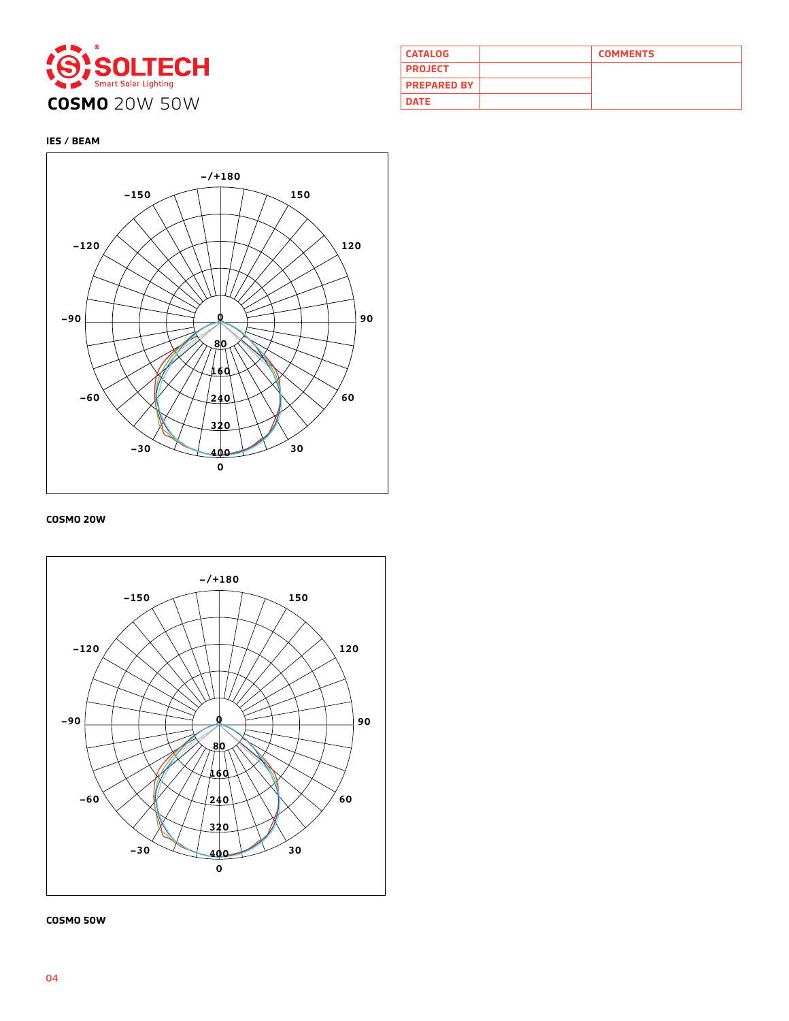

| <b>CATALOG</b>     | <b>COMMENTS</b> |
|--------------------|-----------------|
| <b>PROJECT</b>     |                 |
| <b>PREPARED BY</b> |                 |
| <b>DATE</b>        |                 |

## **IES / BEAM**



## **COSMO 20W**



#### **COSMO 50W**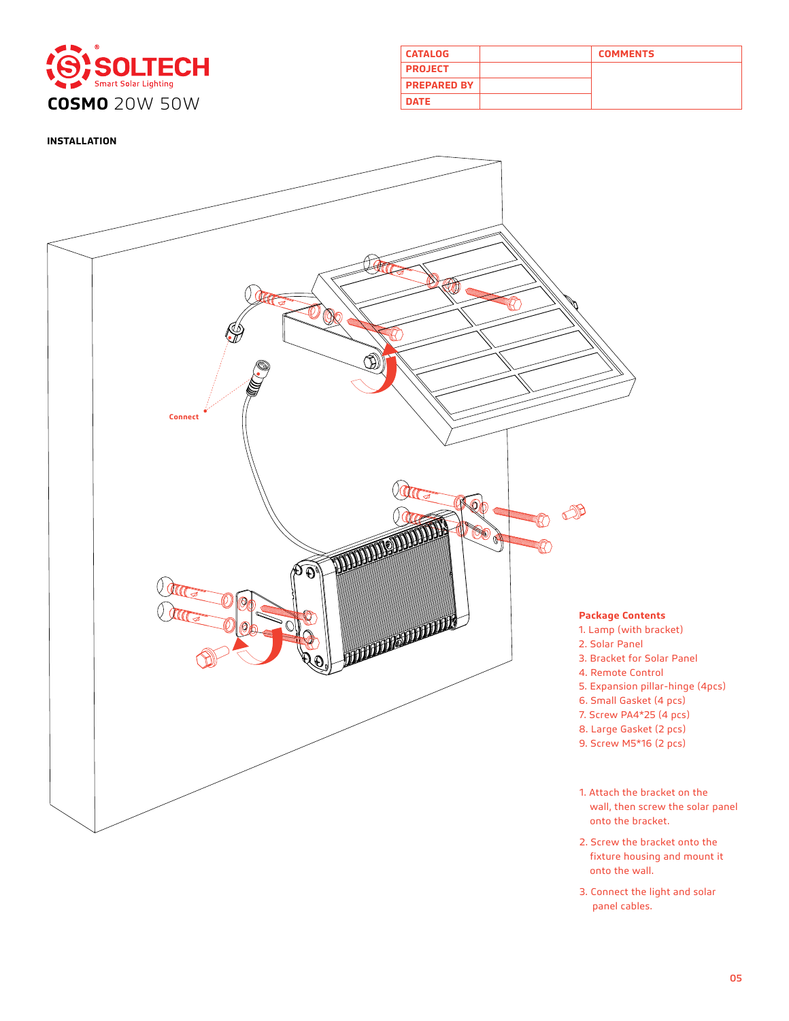

| <b>CATALOG</b>     | <b>COMMENTS</b> |
|--------------------|-----------------|
| <b>PROJECT</b>     |                 |
| <b>PREPARED BY</b> |                 |
| <b>DATE</b>        |                 |

**INSTALLATION** 



- 2. Screw the bracket onto the fixture housing and mount it onto the wall.
- 3. Connect the light and solar panel cables.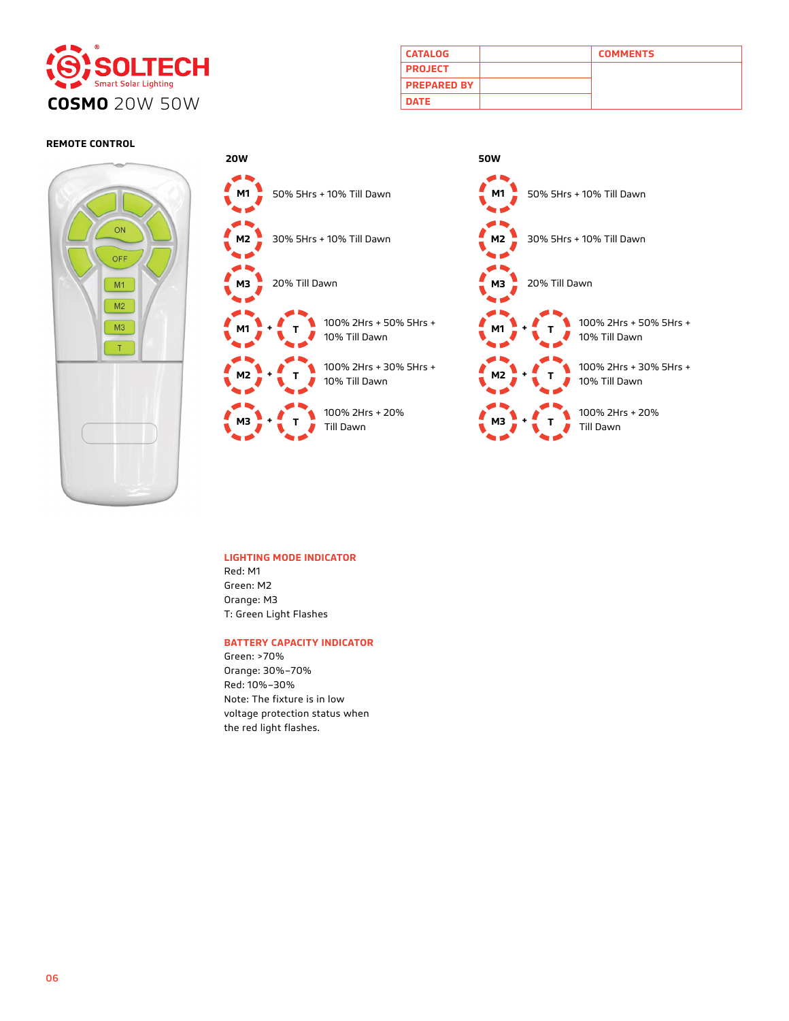

| <b>CATALOG</b>     | <b>COMMENTS</b> |
|--------------------|-----------------|
| <b>PROJECT</b>     |                 |
| <b>PREPARED BY</b> |                 |
| <b>DATE</b>        |                 |

## **REMOTE CONTROL**





#### **LIGHTING MODE INDICATOR**

Red: M1 Green: M2 Orange: M3 T: Green Light Flashes

## **BATTERY CAPACITY INDICATOR**

Green: >70% Orange: 30%–70% Red: 10%–30% Note: The fixture is in low voltage protection status when the red light flashes.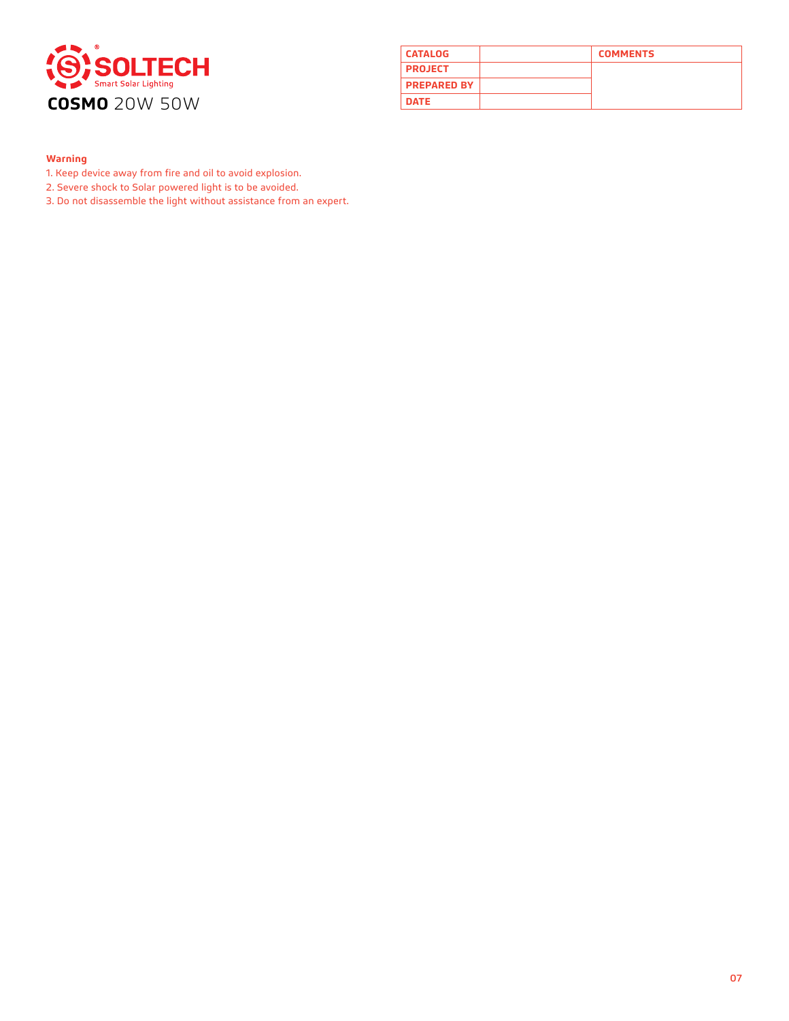

| <b>CATALOG</b>     | <b>COMMENTS</b> |
|--------------------|-----------------|
| <b>PROJECT</b>     |                 |
| <b>PREPARED BY</b> |                 |
| <b>DATE</b>        |                 |

## **Warning**

- 1. Keep device away from fire and oil to avoid explosion.
- 2. Severe shock to Solar powered light is to be avoided.

3. Do not disassemble the light without assistance from an expert.